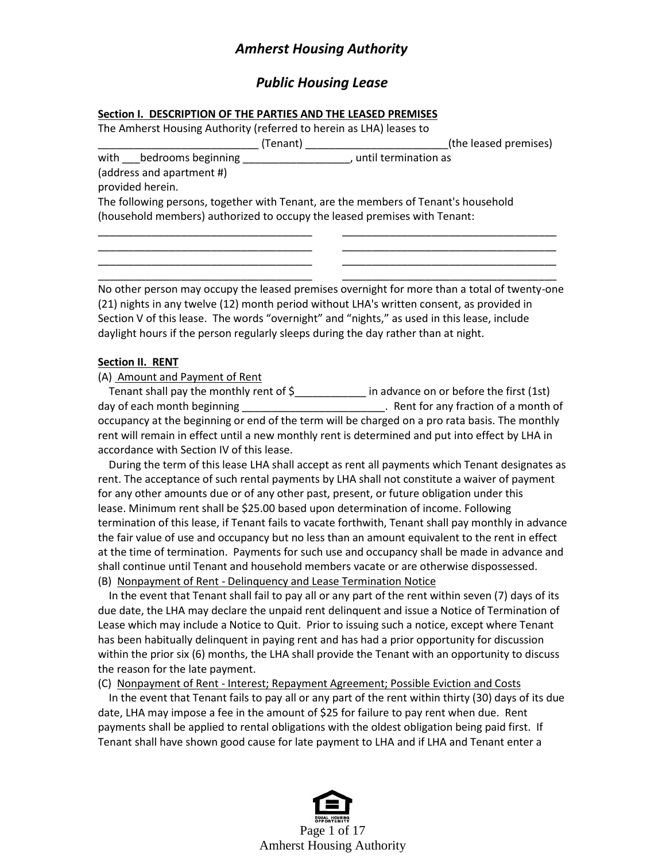# *Amherst Housing Authority*

# *Public Housing Lease*

#### **Section I. DESCRIPTION OF THE PARTIES AND THE LEASED PREMISES**

The Amherst Housing Authority (referred to herein as LHA) leases to

\_\_\_\_\_\_\_\_\_\_\_\_\_\_\_\_\_\_\_\_\_\_\_\_\_\_\_ (Tenant) \_\_\_\_\_\_\_\_\_\_\_\_\_\_\_\_\_\_\_\_\_\_\_\_(the leased premises)

with *Lebedrooms beginning \_\_\_\_\_\_\_\_\_\_\_\_\_\_\_\_\_\_*, until termination as (address and apartment #)

provided herein.

The following persons, together with Tenant, are the members of Tenant's household (household members) authorized to occupy the leased premises with Tenant:

No other person may occupy the leased premises overnight for more than a total of twenty-one (21) nights in any twelve (12) month period without LHA's written consent, as provided in Section V of this lease. The words "overnight" and "nights," as used in this lease, include daylight hours if the person regularly sleeps during the day rather than at night.

\_\_\_\_\_\_\_\_\_\_\_\_\_\_\_\_\_\_\_\_\_\_\_\_\_\_\_\_\_\_\_\_\_\_\_\_ \_\_\_\_\_\_\_\_\_\_\_\_\_\_\_\_\_\_\_\_\_\_\_\_\_\_\_\_\_\_\_\_\_\_\_\_ \_\_\_\_\_\_\_\_\_\_\_\_\_\_\_\_\_\_\_\_\_\_\_\_\_\_\_\_\_\_\_\_\_\_\_\_ \_\_\_\_\_\_\_\_\_\_\_\_\_\_\_\_\_\_\_\_\_\_\_\_\_\_\_\_\_\_\_\_\_\_\_\_ \_\_\_\_\_\_\_\_\_\_\_\_\_\_\_\_\_\_\_\_\_\_\_\_\_\_\_\_\_\_\_\_\_\_\_\_ \_\_\_\_\_\_\_\_\_\_\_\_\_\_\_\_\_\_\_\_\_\_\_\_\_\_\_\_\_\_\_\_\_\_\_\_ \_\_\_\_\_\_\_\_\_\_\_\_\_\_\_\_\_\_\_\_\_\_\_\_\_\_\_\_\_\_\_\_\_\_\_\_ \_\_\_\_\_\_\_\_\_\_\_\_\_\_\_\_\_\_\_\_\_\_\_\_\_\_\_\_\_\_\_\_\_\_\_\_

## **Section II. RENT**

(A) Amount and Payment of Rent

Tenant shall pay the monthly rent of \$\_\_\_\_\_\_\_\_\_\_\_\_\_ in advance on or before the first (1st) day of each month beginning \_\_\_\_\_\_\_\_\_\_\_\_\_\_\_\_\_\_\_\_\_\_\_\_\_\_. Rent for any fraction of a month of occupancy at the beginning or end of the term will be charged on a pro rata basis. The monthly rent will remain in effect until a new monthly rent is determined and put into effect by LHA in accordance with Section IV of this lease.

 During the term of this lease LHA shall accept as rent all payments which Tenant designates as rent. The acceptance of such rental payments by LHA shall not constitute a waiver of payment for any other amounts due or of any other past, present, or future obligation under this lease. Minimum rent shall be \$25.00 based upon determination of income. Following termination of this lease, if Tenant fails to vacate forthwith, Tenant shall pay monthly in advance the fair value of use and occupancy but no less than an amount equivalent to the rent in effect at the time of termination. Payments for such use and occupancy shall be made in advance and shall continue until Tenant and household members vacate or are otherwise dispossessed.

(B) Nonpayment of Rent - Delinquency and Lease Termination Notice

 In the event that Tenant shall fail to pay all or any part of the rent within seven (7) days of its due date, the LHA may declare the unpaid rent delinquent and issue a Notice of Termination of Lease which may include a Notice to Quit. Prior to issuing such a notice, except where Tenant has been habitually delinquent in paying rent and has had a prior opportunity for discussion within the prior six (6) months, the LHA shall provide the Tenant with an opportunity to discuss the reason for the late payment.

(C) Nonpayment of Rent - Interest; Repayment Agreement; Possible Eviction and Costs

 In the event that Tenant fails to pay all or any part of the rent within thirty (30) days of its due date, LHA may impose a fee in the amount of \$25 for failure to pay rent when due. Rent payments shall be applied to rental obligations with the oldest obligation being paid first. If Tenant shall have shown good cause for late payment to LHA and if LHA and Tenant enter a

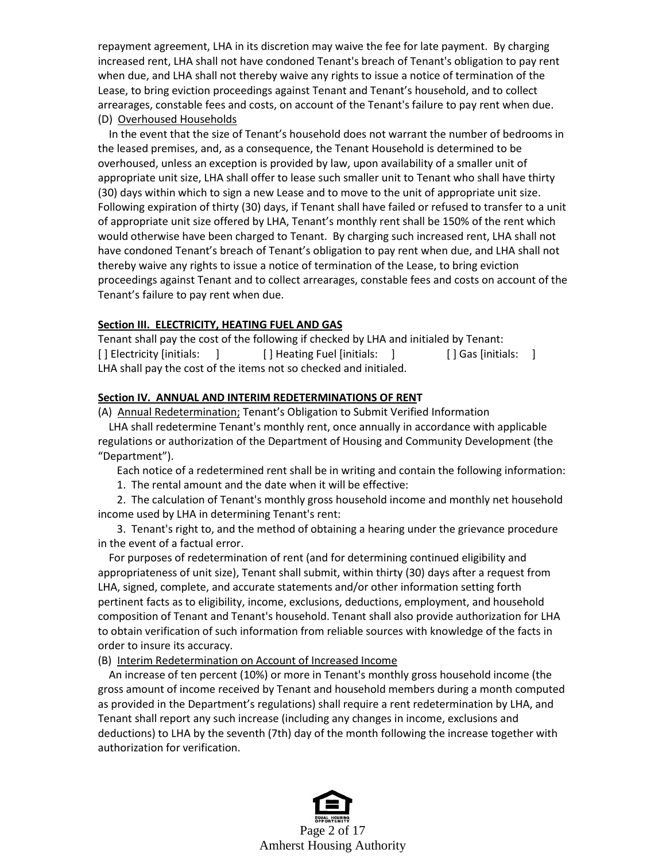repayment agreement, LHA in its discretion may waive the fee for late payment. By charging increased rent, LHA shall not have condoned Tenant's breach of Tenant's obligation to pay rent when due, and LHA shall not thereby waive any rights to issue a notice of termination of the Lease, to bring eviction proceedings against Tenant and Tenant's household, and to collect arrearages, constable fees and costs, on account of the Tenant's failure to pay rent when due. (D) Overhoused Households

 In the event that the size of Tenant's household does not warrant the number of bedrooms in the leased premises, and, as a consequence, the Tenant Household is determined to be overhoused, unless an exception is provided by law, upon availability of a smaller unit of appropriate unit size, LHA shall offer to lease such smaller unit to Tenant who shall have thirty (30) days within which to sign a new Lease and to move to the unit of appropriate unit size. Following expiration of thirty (30) days, if Tenant shall have failed or refused to transfer to a unit of appropriate unit size offered by LHA, Tenant's monthly rent shall be 150% of the rent which would otherwise have been charged to Tenant. By charging such increased rent, LHA shall not have condoned Tenant's breach of Tenant's obligation to pay rent when due, and LHA shall not thereby waive any rights to issue a notice of termination of the Lease, to bring eviction proceedings against Tenant and to collect arrearages, constable fees and costs on account of the Tenant's failure to pay rent when due.

### **Section III. ELECTRICITY, HEATING FUEL AND GAS**

Tenant shall pay the cost of the following if checked by LHA and initialed by Tenant: [ ] Electricity [initials: ] [ ] Heating Fuel [initials: ] [ ] Gas [initials: ] LHA shall pay the cost of the items not so checked and initialed.

## **Section IV. ANNUAL AND INTERIM REDETERMINATIONS OF RENT**

(A) Annual Redetermination; Tenant's Obligation to Submit Verified Information

 LHA shall redetermine Tenant's monthly rent, once annually in accordance with applicable regulations or authorization of the Department of Housing and Community Development (the "Department").

Each notice of a redetermined rent shall be in writing and contain the following information:

1. The rental amount and the date when it will be effective:

 2. The calculation of Tenant's monthly gross household income and monthly net household income used by LHA in determining Tenant's rent:

 3. Tenant's right to, and the method of obtaining a hearing under the grievance procedure in the event of a factual error.

 For purposes of redetermination of rent (and for determining continued eligibility and appropriateness of unit size), Tenant shall submit, within thirty (30) days after a request from LHA, signed, complete, and accurate statements and/or other information setting forth pertinent facts as to eligibility, income, exclusions, deductions, employment, and household composition of Tenant and Tenant's household. Tenant shall also provide authorization for LHA to obtain verification of such information from reliable sources with knowledge of the facts in order to insure its accuracy.

### (B) Interim Redetermination on Account of Increased Income

 An increase of ten percent (10%) or more in Tenant's monthly gross household income (the gross amount of income received by Tenant and household members during a month computed as provided in the Department's regulations) shall require a rent redetermination by LHA, and Tenant shall report any such increase (including any changes in income, exclusions and deductions) to LHA by the seventh (7th) day of the month following the increase together with authorization for verification.

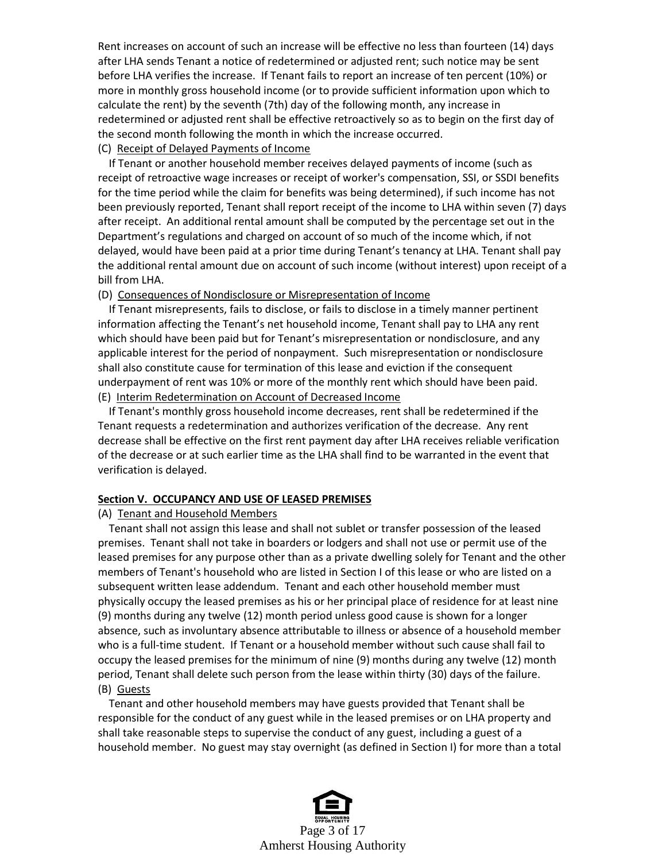Rent increases on account of such an increase will be effective no less than fourteen (14) days after LHA sends Tenant a notice of redetermined or adjusted rent; such notice may be sent before LHA verifies the increase. If Tenant fails to report an increase of ten percent (10%) or more in monthly gross household income (or to provide sufficient information upon which to calculate the rent) by the seventh (7th) day of the following month, any increase in redetermined or adjusted rent shall be effective retroactively so as to begin on the first day of the second month following the month in which the increase occurred.

(C) Receipt of Delayed Payments of Income

 If Tenant or another household member receives delayed payments of income (such as receipt of retroactive wage increases or receipt of worker's compensation, SSI, or SSDI benefits for the time period while the claim for benefits was being determined), if such income has not been previously reported, Tenant shall report receipt of the income to LHA within seven (7) days after receipt. An additional rental amount shall be computed by the percentage set out in the Department's regulations and charged on account of so much of the income which, if not delayed, would have been paid at a prior time during Tenant's tenancy at LHA. Tenant shall pay the additional rental amount due on account of such income (without interest) upon receipt of a bill from LHA.

(D) Consequences of Nondisclosure or Misrepresentation of Income

 If Tenant misrepresents, fails to disclose, or fails to disclose in a timely manner pertinent information affecting the Tenant's net household income, Tenant shall pay to LHA any rent which should have been paid but for Tenant's misrepresentation or nondisclosure, and any applicable interest for the period of nonpayment. Such misrepresentation or nondisclosure shall also constitute cause for termination of this lease and eviction if the consequent underpayment of rent was 10% or more of the monthly rent which should have been paid. (E) Interim Redetermination on Account of Decreased Income

 If Tenant's monthly gross household income decreases, rent shall be redetermined if the Tenant requests a redetermination and authorizes verification of the decrease. Any rent decrease shall be effective on the first rent payment day after LHA receives reliable verification of the decrease or at such earlier time as the LHA shall find to be warranted in the event that verification is delayed.

#### **Section V. OCCUPANCY AND USE OF LEASED PREMISES**

(A) Tenant and Household Members

 Tenant shall not assign this lease and shall not sublet or transfer possession of the leased premises. Tenant shall not take in boarders or lodgers and shall not use or permit use of the leased premises for any purpose other than as a private dwelling solely for Tenant and the other members of Tenant's household who are listed in Section I of this lease or who are listed on a subsequent written lease addendum. Tenant and each other household member must physically occupy the leased premises as his or her principal place of residence for at least nine (9) months during any twelve (12) month period unless good cause is shown for a longer absence, such as involuntary absence attributable to illness or absence of a household member who is a full-time student. If Tenant or a household member without such cause shall fail to occupy the leased premises for the minimum of nine (9) months during any twelve (12) month period, Tenant shall delete such person from the lease within thirty (30) days of the failure. (B) Guests

 Tenant and other household members may have guests provided that Tenant shall be responsible for the conduct of any guest while in the leased premises or on LHA property and shall take reasonable steps to supervise the conduct of any guest, including a guest of a household member. No guest may stay overnight (as defined in Section I) for more than a total

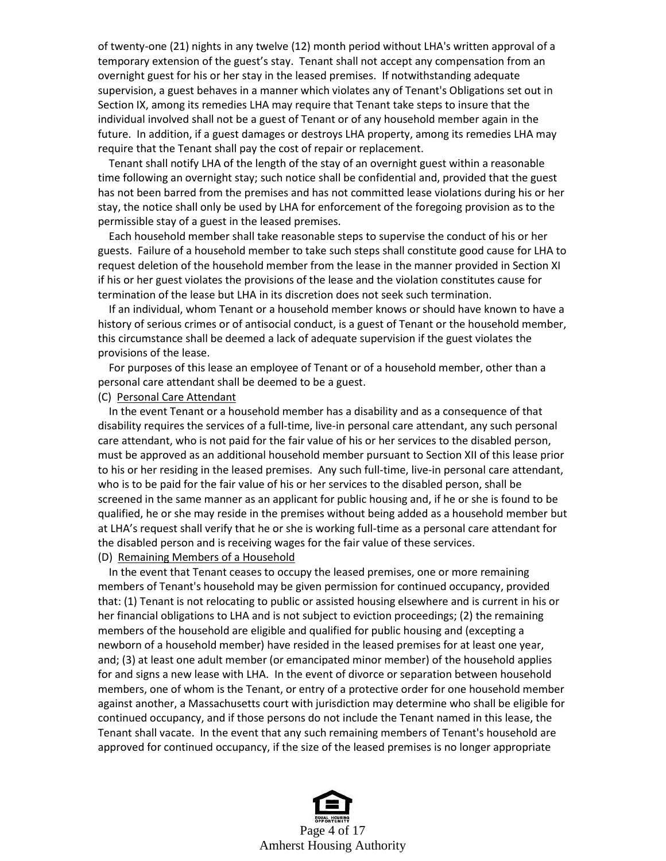of twenty-one (21) nights in any twelve (12) month period without LHA's written approval of a temporary extension of the guest's stay. Tenant shall not accept any compensation from an overnight guest for his or her stay in the leased premises. If notwithstanding adequate supervision, a guest behaves in a manner which violates any of Tenant's Obligations set out in Section IX, among its remedies LHA may require that Tenant take steps to insure that the individual involved shall not be a guest of Tenant or of any household member again in the future. In addition, if a guest damages or destroys LHA property, among its remedies LHA may require that the Tenant shall pay the cost of repair or replacement.

 Tenant shall notify LHA of the length of the stay of an overnight guest within a reasonable time following an overnight stay; such notice shall be confidential and, provided that the guest has not been barred from the premises and has not committed lease violations during his or her stay, the notice shall only be used by LHA for enforcement of the foregoing provision as to the permissible stay of a guest in the leased premises.

 Each household member shall take reasonable steps to supervise the conduct of his or her guests. Failure of a household member to take such steps shall constitute good cause for LHA to request deletion of the household member from the lease in the manner provided in Section XI if his or her guest violates the provisions of the lease and the violation constitutes cause for termination of the lease but LHA in its discretion does not seek such termination.

 If an individual, whom Tenant or a household member knows or should have known to have a history of serious crimes or of antisocial conduct, is a guest of Tenant or the household member, this circumstance shall be deemed a lack of adequate supervision if the guest violates the provisions of the lease.

 For purposes of this lease an employee of Tenant or of a household member, other than a personal care attendant shall be deemed to be a guest.

#### (C) Personal Care Attendant

 In the event Tenant or a household member has a disability and as a consequence of that disability requires the services of a full-time, live-in personal care attendant, any such personal care attendant, who is not paid for the fair value of his or her services to the disabled person, must be approved as an additional household member pursuant to Section XII of this lease prior to his or her residing in the leased premises. Any such full-time, live-in personal care attendant, who is to be paid for the fair value of his or her services to the disabled person, shall be screened in the same manner as an applicant for public housing and, if he or she is found to be qualified, he or she may reside in the premises without being added as a household member but at LHA's request shall verify that he or she is working full-time as a personal care attendant for the disabled person and is receiving wages for the fair value of these services. (D) Remaining Members of a Household

 In the event that Tenant ceases to occupy the leased premises, one or more remaining members of Tenant's household may be given permission for continued occupancy, provided that: (1) Tenant is not relocating to public or assisted housing elsewhere and is current in his or her financial obligations to LHA and is not subject to eviction proceedings; (2) the remaining members of the household are eligible and qualified for public housing and (excepting a newborn of a household member) have resided in the leased premises for at least one year, and; (3) at least one adult member (or emancipated minor member) of the household applies for and signs a new lease with LHA. In the event of divorce or separation between household members, one of whom is the Tenant, or entry of a protective order for one household member against another, a Massachusetts court with jurisdiction may determine who shall be eligible for continued occupancy, and if those persons do not include the Tenant named in this lease, the Tenant shall vacate. In the event that any such remaining members of Tenant's household are approved for continued occupancy, if the size of the leased premises is no longer appropriate

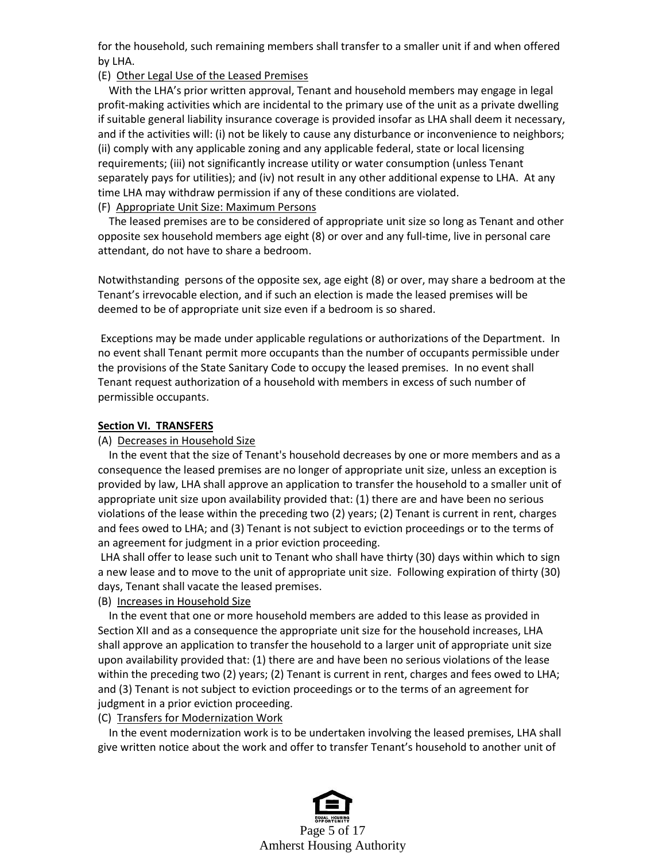for the household, such remaining members shall transfer to a smaller unit if and when offered by LHA.

#### (E) Other Legal Use of the Leased Premises

 With the LHA's prior written approval, Tenant and household members may engage in legal profit-making activities which are incidental to the primary use of the unit as a private dwelling if suitable general liability insurance coverage is provided insofar as LHA shall deem it necessary, and if the activities will: (i) not be likely to cause any disturbance or inconvenience to neighbors; (ii) comply with any applicable zoning and any applicable federal, state or local licensing requirements; (iii) not significantly increase utility or water consumption (unless Tenant separately pays for utilities); and (iv) not result in any other additional expense to LHA. At any time LHA may withdraw permission if any of these conditions are violated.

#### (F) Appropriate Unit Size: Maximum Persons

 The leased premises are to be considered of appropriate unit size so long as Tenant and other opposite sex household members age eight (8) or over and any full-time, live in personal care attendant, do not have to share a bedroom.

Notwithstanding persons of the opposite sex, age eight (8) or over, may share a bedroom at the Tenant's irrevocable election, and if such an election is made the leased premises will be deemed to be of appropriate unit size even if a bedroom is so shared.

Exceptions may be made under applicable regulations or authorizations of the Department. In no event shall Tenant permit more occupants than the number of occupants permissible under the provisions of the State Sanitary Code to occupy the leased premises. In no event shall Tenant request authorization of a household with members in excess of such number of permissible occupants.

#### **Section VI. TRANSFERS**

#### (A) Decreases in Household Size

 In the event that the size of Tenant's household decreases by one or more members and as a consequence the leased premises are no longer of appropriate unit size, unless an exception is provided by law, LHA shall approve an application to transfer the household to a smaller unit of appropriate unit size upon availability provided that: (1) there are and have been no serious violations of the lease within the preceding two (2) years; (2) Tenant is current in rent, charges and fees owed to LHA; and (3) Tenant is not subject to eviction proceedings or to the terms of an agreement for judgment in a prior eviction proceeding.

LHA shall offer to lease such unit to Tenant who shall have thirty (30) days within which to sign a new lease and to move to the unit of appropriate unit size. Following expiration of thirty (30) days, Tenant shall vacate the leased premises.

#### (B) Increases in Household Size

 In the event that one or more household members are added to this lease as provided in Section XII and as a consequence the appropriate unit size for the household increases, LHA shall approve an application to transfer the household to a larger unit of appropriate unit size upon availability provided that: (1) there are and have been no serious violations of the lease within the preceding two (2) years; (2) Tenant is current in rent, charges and fees owed to LHA; and (3) Tenant is not subject to eviction proceedings or to the terms of an agreement for judgment in a prior eviction proceeding.

## (C) Transfers for Modernization Work

 In the event modernization work is to be undertaken involving the leased premises, LHA shall give written notice about the work and offer to transfer Tenant's household to another unit of

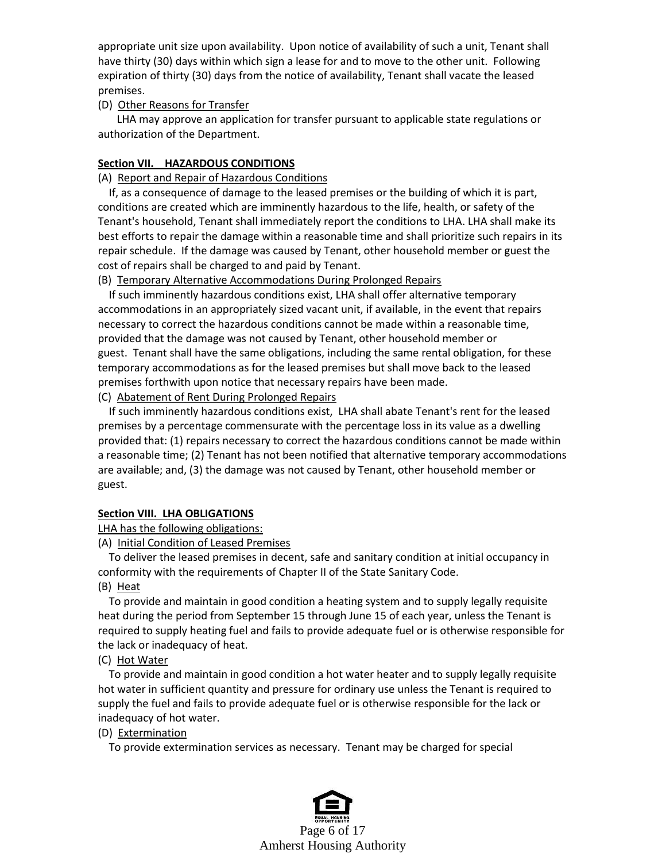appropriate unit size upon availability. Upon notice of availability of such a unit, Tenant shall have thirty (30) days within which sign a lease for and to move to the other unit. Following expiration of thirty (30) days from the notice of availability, Tenant shall vacate the leased premises.

### (D) Other Reasons for Transfer

 LHA may approve an application for transfer pursuant to applicable state regulations or authorization of the Department.

## **Section VII. HAZARDOUS CONDITIONS**

### (A) Report and Repair of Hazardous Conditions

 If, as a consequence of damage to the leased premises or the building of which it is part, conditions are created which are imminently hazardous to the life, health, or safety of the Tenant's household, Tenant shall immediately report the conditions to LHA. LHA shall make its best efforts to repair the damage within a reasonable time and shall prioritize such repairs in its repair schedule. If the damage was caused by Tenant, other household member or guest the cost of repairs shall be charged to and paid by Tenant.

## (B) Temporary Alternative Accommodations During Prolonged Repairs

 If such imminently hazardous conditions exist, LHA shall offer alternative temporary accommodations in an appropriately sized vacant unit, if available, in the event that repairs necessary to correct the hazardous conditions cannot be made within a reasonable time, provided that the damage was not caused by Tenant, other household member or guest. Tenant shall have the same obligations, including the same rental obligation, for these temporary accommodations as for the leased premises but shall move back to the leased premises forthwith upon notice that necessary repairs have been made.

### (C) Abatement of Rent During Prolonged Repairs

 If such imminently hazardous conditions exist, LHA shall abate Tenant's rent for the leased premises by a percentage commensurate with the percentage loss in its value as a dwelling provided that: (1) repairs necessary to correct the hazardous conditions cannot be made within a reasonable time; (2) Tenant has not been notified that alternative temporary accommodations are available; and, (3) the damage was not caused by Tenant, other household member or guest.

### **Section VIII. LHA OBLIGATIONS**

LHA has the following obligations:

(A) Initial Condition of Leased Premises

 To deliver the leased premises in decent, safe and sanitary condition at initial occupancy in conformity with the requirements of Chapter II of the State Sanitary Code.

(B) Heat

 To provide and maintain in good condition a heating system and to supply legally requisite heat during the period from September 15 through June 15 of each year, unless the Tenant is required to supply heating fuel and fails to provide adequate fuel or is otherwise responsible for the lack or inadequacy of heat.

## (C) Hot Water

 To provide and maintain in good condition a hot water heater and to supply legally requisite hot water in sufficient quantity and pressure for ordinary use unless the Tenant is required to supply the fuel and fails to provide adequate fuel or is otherwise responsible for the lack or inadequacy of hot water.

## (D) Extermination

To provide extermination services as necessary. Tenant may be charged for special

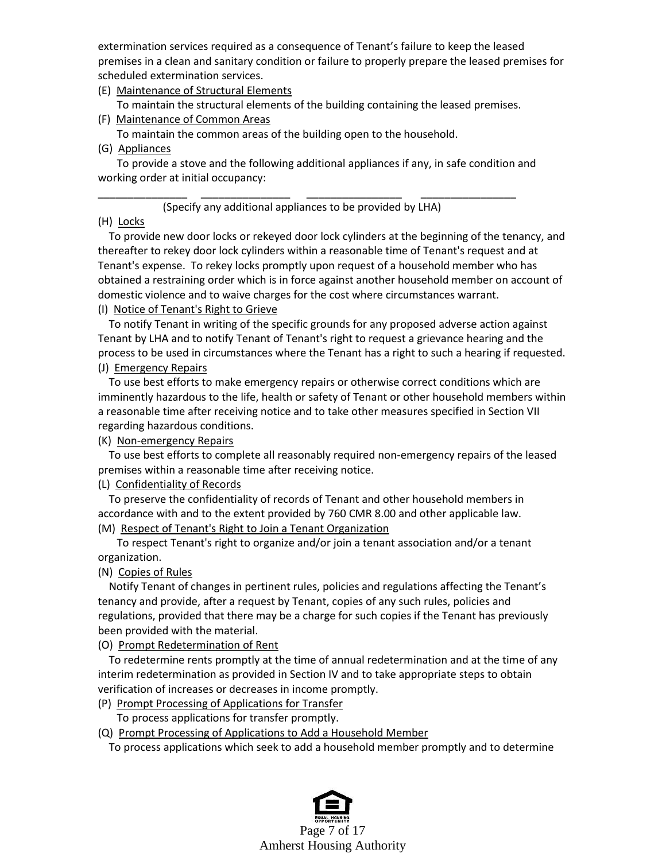extermination services required as a consequence of Tenant's failure to keep the leased premises in a clean and sanitary condition or failure to properly prepare the leased premises for scheduled extermination services.

- (E) Maintenance of Structural Elements
- To maintain the structural elements of the building containing the leased premises.
- (F) Maintenance of Common Areas To maintain the common areas of the building open to the household.
- (G) Appliances

 To provide a stove and the following additional appliances if any, in safe condition and working order at initial occupancy:

### \_\_\_\_\_\_\_\_\_\_\_\_\_\_\_ \_\_\_\_\_\_\_\_\_\_\_\_\_\_\_ \_\_\_\_\_\_\_\_\_\_\_\_\_\_\_\_ \_\_\_\_\_\_\_\_\_\_\_\_\_\_\_\_ (Specify any additional appliances to be provided by LHA)

## (H) Locks

 To provide new door locks or rekeyed door lock cylinders at the beginning of the tenancy, and thereafter to rekey door lock cylinders within a reasonable time of Tenant's request and at Tenant's expense. To rekey locks promptly upon request of a household member who has obtained a restraining order which is in force against another household member on account of domestic violence and to waive charges for the cost where circumstances warrant.

## (I) Notice of Tenant's Right to Grieve

 To notify Tenant in writing of the specific grounds for any proposed adverse action against Tenant by LHA and to notify Tenant of Tenant's right to request a grievance hearing and the process to be used in circumstances where the Tenant has a right to such a hearing if requested.

## (J) Emergency Repairs

 To use best efforts to make emergency repairs or otherwise correct conditions which are imminently hazardous to the life, health or safety of Tenant or other household members within a reasonable time after receiving notice and to take other measures specified in Section VII regarding hazardous conditions.

## (K) Non-emergency Repairs

 To use best efforts to complete all reasonably required non-emergency repairs of the leased premises within a reasonable time after receiving notice.

## (L) Confidentiality of Records

 To preserve the confidentiality of records of Tenant and other household members in accordance with and to the extent provided by 760 CMR 8.00 and other applicable law. (M) Respect of Tenant's Right to Join a Tenant Organization

 To respect Tenant's right to organize and/or join a tenant association and/or a tenant organization.

## (N) Copies of Rules

 Notify Tenant of changes in pertinent rules, policies and regulations affecting the Tenant's tenancy and provide, after a request by Tenant, copies of any such rules, policies and regulations, provided that there may be a charge for such copies if the Tenant has previously been provided with the material.

### (O) Prompt Redetermination of Rent

 To redetermine rents promptly at the time of annual redetermination and at the time of any interim redetermination as provided in Section IV and to take appropriate steps to obtain verification of increases or decreases in income promptly.

(P) Prompt Processing of Applications for Transfer

To process applications for transfer promptly.

(Q) Prompt Processing of Applications to Add a Household Member

To process applications which seek to add a household member promptly and to determine

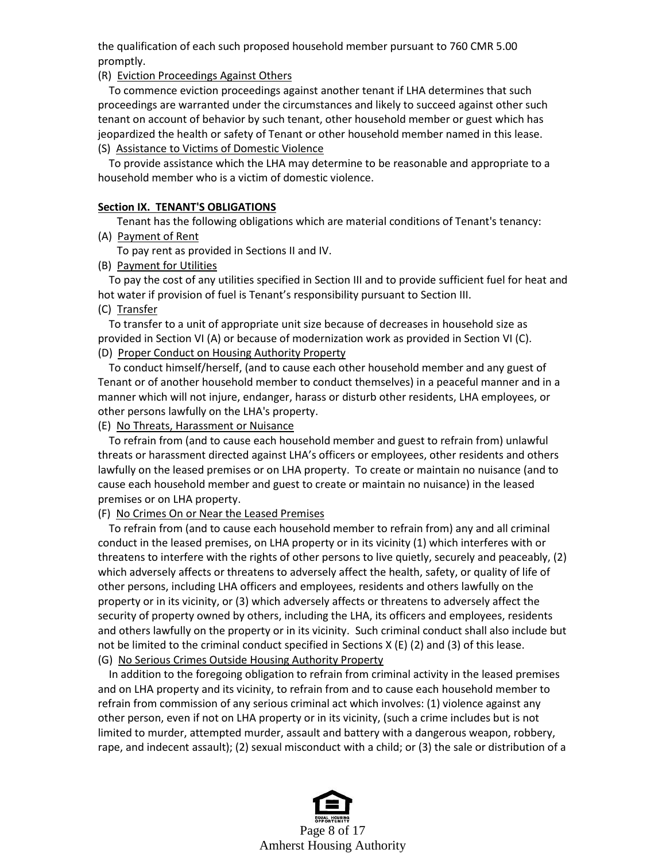the qualification of each such proposed household member pursuant to 760 CMR 5.00 promptly.

(R) Eviction Proceedings Against Others

 To commence eviction proceedings against another tenant if LHA determines that such proceedings are warranted under the circumstances and likely to succeed against other such tenant on account of behavior by such tenant, other household member or guest which has jeopardized the health or safety of Tenant or other household member named in this lease.

(S) Assistance to Victims of Domestic Violence

 To provide assistance which the LHA may determine to be reasonable and appropriate to a household member who is a victim of domestic violence.

### **Section IX. TENANT'S OBLIGATIONS**

Tenant has the following obligations which are material conditions of Tenant's tenancy:

(A) Payment of Rent

To pay rent as provided in Sections II and IV.

(B) Payment for Utilities

 To pay the cost of any utilities specified in Section III and to provide sufficient fuel for heat and hot water if provision of fuel is Tenant's responsibility pursuant to Section III.

(C) Transfer

 To transfer to a unit of appropriate unit size because of decreases in household size as provided in Section VI (A) or because of modernization work as provided in Section VI (C). (D) Proper Conduct on Housing Authority Property

 To conduct himself/herself, (and to cause each other household member and any guest of Tenant or of another household member to conduct themselves) in a peaceful manner and in a manner which will not injure, endanger, harass or disturb other residents, LHA employees, or other persons lawfully on the LHA's property.

(E) No Threats, Harassment or Nuisance

 To refrain from (and to cause each household member and guest to refrain from) unlawful threats or harassment directed against LHA's officers or employees, other residents and others lawfully on the leased premises or on LHA property. To create or maintain no nuisance (and to cause each household member and guest to create or maintain no nuisance) in the leased premises or on LHA property.

### (F) No Crimes On or Near the Leased Premises

 To refrain from (and to cause each household member to refrain from) any and all criminal conduct in the leased premises, on LHA property or in its vicinity (1) which interferes with or threatens to interfere with the rights of other persons to live quietly, securely and peaceably, (2) which adversely affects or threatens to adversely affect the health, safety, or quality of life of other persons, including LHA officers and employees, residents and others lawfully on the property or in its vicinity, or (3) which adversely affects or threatens to adversely affect the security of property owned by others, including the LHA, its officers and employees, residents and others lawfully on the property or in its vicinity. Such criminal conduct shall also include but not be limited to the criminal conduct specified in Sections X (E) (2) and (3) of this lease. (G) No Serious Crimes Outside Housing Authority Property

 In addition to the foregoing obligation to refrain from criminal activity in the leased premises and on LHA property and its vicinity, to refrain from and to cause each household member to refrain from commission of any serious criminal act which involves: (1) violence against any other person, even if not on LHA property or in its vicinity, (such a crime includes but is not limited to murder, attempted murder, assault and battery with a dangerous weapon, robbery, rape, and indecent assault); (2) sexual misconduct with a child; or (3) the sale or distribution of a

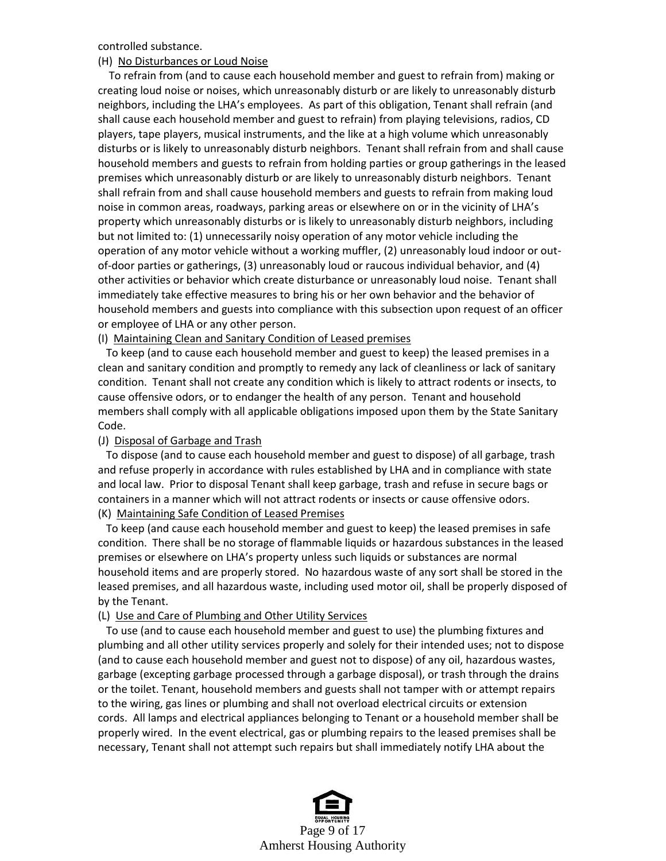controlled substance.

#### (H) No Disturbances or Loud Noise

 To refrain from (and to cause each household member and guest to refrain from) making or creating loud noise or noises, which unreasonably disturb or are likely to unreasonably disturb neighbors, including the LHA's employees. As part of this obligation, Tenant shall refrain (and shall cause each household member and guest to refrain) from playing televisions, radios, CD players, tape players, musical instruments, and the like at a high volume which unreasonably disturbs or is likely to unreasonably disturb neighbors. Tenant shall refrain from and shall cause household members and guests to refrain from holding parties or group gatherings in the leased premises which unreasonably disturb or are likely to unreasonably disturb neighbors. Tenant shall refrain from and shall cause household members and guests to refrain from making loud noise in common areas, roadways, parking areas or elsewhere on or in the vicinity of LHA's property which unreasonably disturbs or is likely to unreasonably disturb neighbors, including but not limited to: (1) unnecessarily noisy operation of any motor vehicle including the operation of any motor vehicle without a working muffler, (2) unreasonably loud indoor or outof-door parties or gatherings, (3) unreasonably loud or raucous individual behavior, and (4) other activities or behavior which create disturbance or unreasonably loud noise. Tenant shall immediately take effective measures to bring his or her own behavior and the behavior of household members and guests into compliance with this subsection upon request of an officer or employee of LHA or any other person.

#### (I) Maintaining Clean and Sanitary Condition of Leased premises

 To keep (and to cause each household member and guest to keep) the leased premises in a clean and sanitary condition and promptly to remedy any lack of cleanliness or lack of sanitary condition. Tenant shall not create any condition which is likely to attract rodents or insects, to cause offensive odors, or to endanger the health of any person. Tenant and household members shall comply with all applicable obligations imposed upon them by the State Sanitary Code.

### (J) Disposal of Garbage and Trash

 To dispose (and to cause each household member and guest to dispose) of all garbage, trash and refuse properly in accordance with rules established by LHA and in compliance with state and local law. Prior to disposal Tenant shall keep garbage, trash and refuse in secure bags or containers in a manner which will not attract rodents or insects or cause offensive odors. (K) Maintaining Safe Condition of Leased Premises

 To keep (and cause each household member and guest to keep) the leased premises in safe condition. There shall be no storage of flammable liquids or hazardous substances in the leased premises or elsewhere on LHA's property unless such liquids or substances are normal household items and are properly stored. No hazardous waste of any sort shall be stored in the leased premises, and all hazardous waste, including used motor oil, shall be properly disposed of by the Tenant.

### (L) Use and Care of Plumbing and Other Utility Services

 To use (and to cause each household member and guest to use) the plumbing fixtures and plumbing and all other utility services properly and solely for their intended uses; not to dispose (and to cause each household member and guest not to dispose) of any oil, hazardous wastes, garbage (excepting garbage processed through a garbage disposal), or trash through the drains or the toilet. Tenant, household members and guests shall not tamper with or attempt repairs to the wiring, gas lines or plumbing and shall not overload electrical circuits or extension cords. All lamps and electrical appliances belonging to Tenant or a household member shall be properly wired. In the event electrical, gas or plumbing repairs to the leased premises shall be necessary, Tenant shall not attempt such repairs but shall immediately notify LHA about the

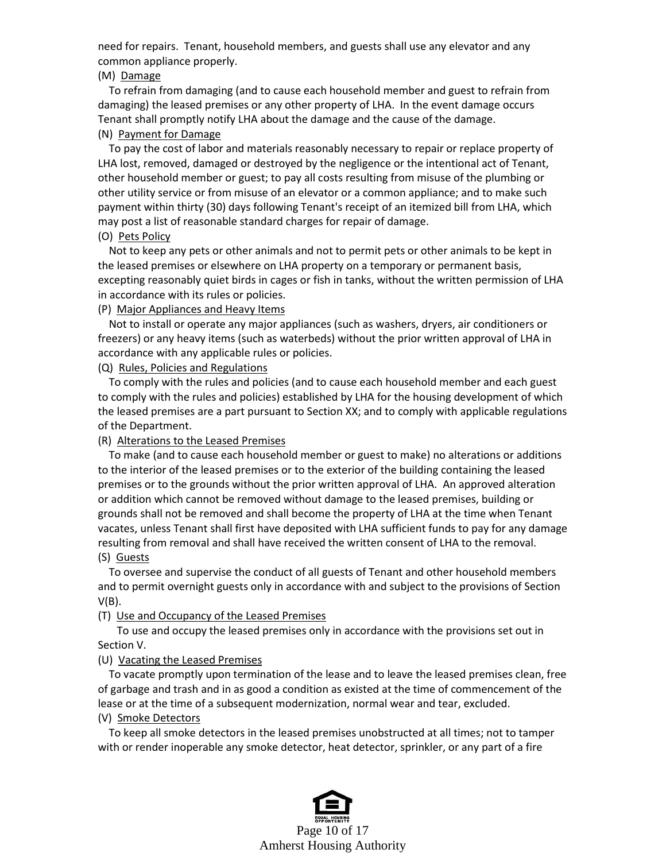need for repairs. Tenant, household members, and guests shall use any elevator and any common appliance properly.

#### (M) Damage

 To refrain from damaging (and to cause each household member and guest to refrain from damaging) the leased premises or any other property of LHA. In the event damage occurs Tenant shall promptly notify LHA about the damage and the cause of the damage.

#### (N) Payment for Damage

 To pay the cost of labor and materials reasonably necessary to repair or replace property of LHA lost, removed, damaged or destroyed by the negligence or the intentional act of Tenant, other household member or guest; to pay all costs resulting from misuse of the plumbing or other utility service or from misuse of an elevator or a common appliance; and to make such payment within thirty (30) days following Tenant's receipt of an itemized bill from LHA, which may post a list of reasonable standard charges for repair of damage.

#### (O) Pets Policy

 Not to keep any pets or other animals and not to permit pets or other animals to be kept in the leased premises or elsewhere on LHA property on a temporary or permanent basis, excepting reasonably quiet birds in cages or fish in tanks, without the written permission of LHA in accordance with its rules or policies.

### (P) Major Appliances and Heavy Items

 Not to install or operate any major appliances (such as washers, dryers, air conditioners or freezers) or any heavy items (such as waterbeds) without the prior written approval of LHA in accordance with any applicable rules or policies.

(Q) Rules, Policies and Regulations

 To comply with the rules and policies (and to cause each household member and each guest to comply with the rules and policies) established by LHA for the housing development of which the leased premises are a part pursuant to Section XX; and to comply with applicable regulations of the Department.

### (R) Alterations to the Leased Premises

 To make (and to cause each household member or guest to make) no alterations or additions to the interior of the leased premises or to the exterior of the building containing the leased premises or to the grounds without the prior written approval of LHA. An approved alteration or addition which cannot be removed without damage to the leased premises, building or grounds shall not be removed and shall become the property of LHA at the time when Tenant vacates, unless Tenant shall first have deposited with LHA sufficient funds to pay for any damage resulting from removal and shall have received the written consent of LHA to the removal. (S) Guests

 To oversee and supervise the conduct of all guests of Tenant and other household members and to permit overnight guests only in accordance with and subject to the provisions of Section V(B).

### (T) Use and Occupancy of the Leased Premises

 To use and occupy the leased premises only in accordance with the provisions set out in Section V.

### (U) Vacating the Leased Premises

 To vacate promptly upon termination of the lease and to leave the leased premises clean, free of garbage and trash and in as good a condition as existed at the time of commencement of the lease or at the time of a subsequent modernization, normal wear and tear, excluded.

### (V) Smoke Detectors

 To keep all smoke detectors in the leased premises unobstructed at all times; not to tamper with or render inoperable any smoke detector, heat detector, sprinkler, or any part of a fire

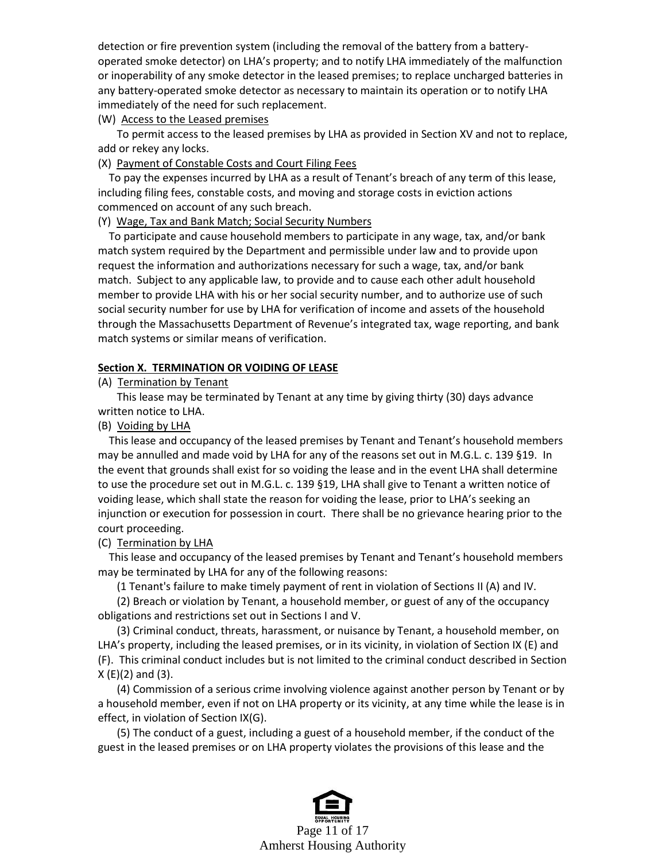detection or fire prevention system (including the removal of the battery from a batteryoperated smoke detector) on LHA's property; and to notify LHA immediately of the malfunction or inoperability of any smoke detector in the leased premises; to replace uncharged batteries in any battery-operated smoke detector as necessary to maintain its operation or to notify LHA immediately of the need for such replacement.

(W) Access to the Leased premises

 To permit access to the leased premises by LHA as provided in Section XV and not to replace, add or rekey any locks.

(X) Payment of Constable Costs and Court Filing Fees

 To pay the expenses incurred by LHA as a result of Tenant's breach of any term of this lease, including filing fees, constable costs, and moving and storage costs in eviction actions commenced on account of any such breach.

#### (Y) Wage, Tax and Bank Match; Social Security Numbers

 To participate and cause household members to participate in any wage, tax, and/or bank match system required by the Department and permissible under law and to provide upon request the information and authorizations necessary for such a wage, tax, and/or bank match. Subject to any applicable law, to provide and to cause each other adult household member to provide LHA with his or her social security number, and to authorize use of such social security number for use by LHA for verification of income and assets of the household through the Massachusetts Department of Revenue's integrated tax, wage reporting, and bank match systems or similar means of verification.

#### **Section X. TERMINATION OR VOIDING OF LEASE**

#### (A) Termination by Tenant

 This lease may be terminated by Tenant at any time by giving thirty (30) days advance written notice to LHA.

(B) Voiding by LHA

 This lease and occupancy of the leased premises by Tenant and Tenant's household members may be annulled and made void by LHA for any of the reasons set out in M.G.L. c. 139 §19. In the event that grounds shall exist for so voiding the lease and in the event LHA shall determine to use the procedure set out in M.G.L. c. 139 §19, LHA shall give to Tenant a written notice of voiding lease, which shall state the reason for voiding the lease, prior to LHA's seeking an injunction or execution for possession in court. There shall be no grievance hearing prior to the court proceeding.

#### (C) Termination by LHA

 This lease and occupancy of the leased premises by Tenant and Tenant's household members may be terminated by LHA for any of the following reasons:

(1 Tenant's failure to make timely payment of rent in violation of Sections II (A) and IV.

 (2) Breach or violation by Tenant, a household member, or guest of any of the occupancy obligations and restrictions set out in Sections I and V.

 (3) Criminal conduct, threats, harassment, or nuisance by Tenant, a household member, on LHA's property, including the leased premises, or in its vicinity, in violation of Section IX (E) and (F). This criminal conduct includes but is not limited to the criminal conduct described in Section X (E)(2) and (3).

 (4) Commission of a serious crime involving violence against another person by Tenant or by a household member, even if not on LHA property or its vicinity, at any time while the lease is in effect, in violation of Section IX(G).

 (5) The conduct of a guest, including a guest of a household member, if the conduct of the guest in the leased premises or on LHA property violates the provisions of this lease and the

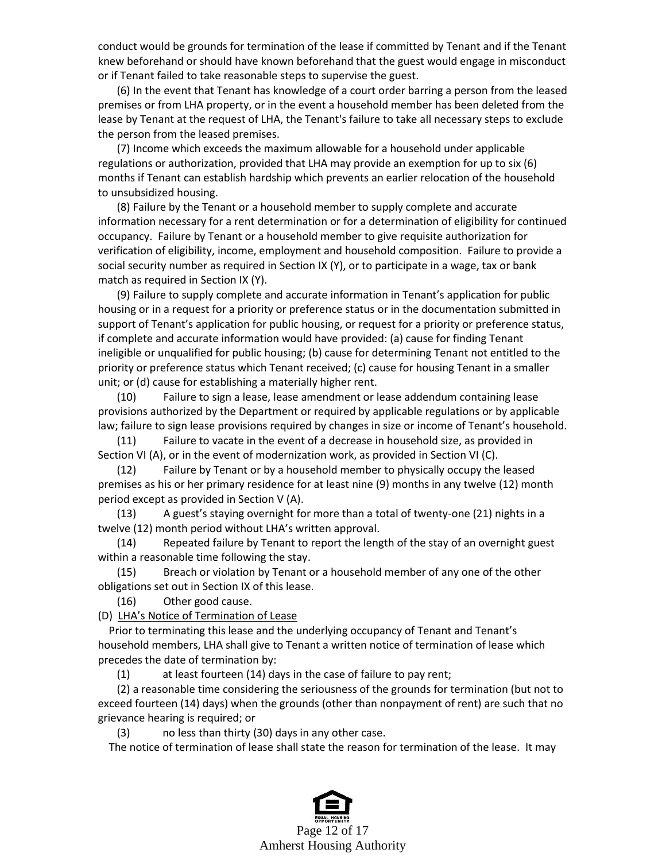conduct would be grounds for termination of the lease if committed by Tenant and if the Tenant knew beforehand or should have known beforehand that the guest would engage in misconduct or if Tenant failed to take reasonable steps to supervise the guest.

 (6) In the event that Tenant has knowledge of a court order barring a person from the leased premises or from LHA property, or in the event a household member has been deleted from the lease by Tenant at the request of LHA, the Tenant's failure to take all necessary steps to exclude the person from the leased premises.

 (7) Income which exceeds the maximum allowable for a household under applicable regulations or authorization, provided that LHA may provide an exemption for up to six (6) months if Tenant can establish hardship which prevents an earlier relocation of the household to unsubsidized housing.

 (8) Failure by the Tenant or a household member to supply complete and accurate information necessary for a rent determination or for a determination of eligibility for continued occupancy. Failure by Tenant or a household member to give requisite authorization for verification of eligibility, income, employment and household composition. Failure to provide a social security number as required in Section IX (Y), or to participate in a wage, tax or bank match as required in Section IX (Y).

 (9) Failure to supply complete and accurate information in Tenant's application for public housing or in a request for a priority or preference status or in the documentation submitted in support of Tenant's application for public housing, or request for a priority or preference status, if complete and accurate information would have provided: (a) cause for finding Tenant ineligible or unqualified for public housing; (b) cause for determining Tenant not entitled to the priority or preference status which Tenant received; (c) cause for housing Tenant in a smaller unit; or (d) cause for establishing a materially higher rent.

 (10) Failure to sign a lease, lease amendment or lease addendum containing lease provisions authorized by the Department or required by applicable regulations or by applicable law; failure to sign lease provisions required by changes in size or income of Tenant's household.

 (11) Failure to vacate in the event of a decrease in household size, as provided in Section VI (A), or in the event of modernization work, as provided in Section VI (C).

 (12) Failure by Tenant or by a household member to physically occupy the leased premises as his or her primary residence for at least nine (9) months in any twelve (12) month period except as provided in Section V (A).

 (13) A guest's staying overnight for more than a total of twenty-one (21) nights in a twelve (12) month period without LHA's written approval.

 (14) Repeated failure by Tenant to report the length of the stay of an overnight guest within a reasonable time following the stay.

 (15) Breach or violation by Tenant or a household member of any one of the other obligations set out in Section IX of this lease.

(16) Other good cause.

(D) LHA's Notice of Termination of Lease

 Prior to terminating this lease and the underlying occupancy of Tenant and Tenant's household members, LHA shall give to Tenant a written notice of termination of lease which precedes the date of termination by:

(1) at least fourteen (14) days in the case of failure to pay rent;

 (2) a reasonable time considering the seriousness of the grounds for termination (but not to exceed fourteen (14) days) when the grounds (other than nonpayment of rent) are such that no grievance hearing is required; or

(3) no less than thirty (30) days in any other case.

The notice of termination of lease shall state the reason for termination of the lease. It may

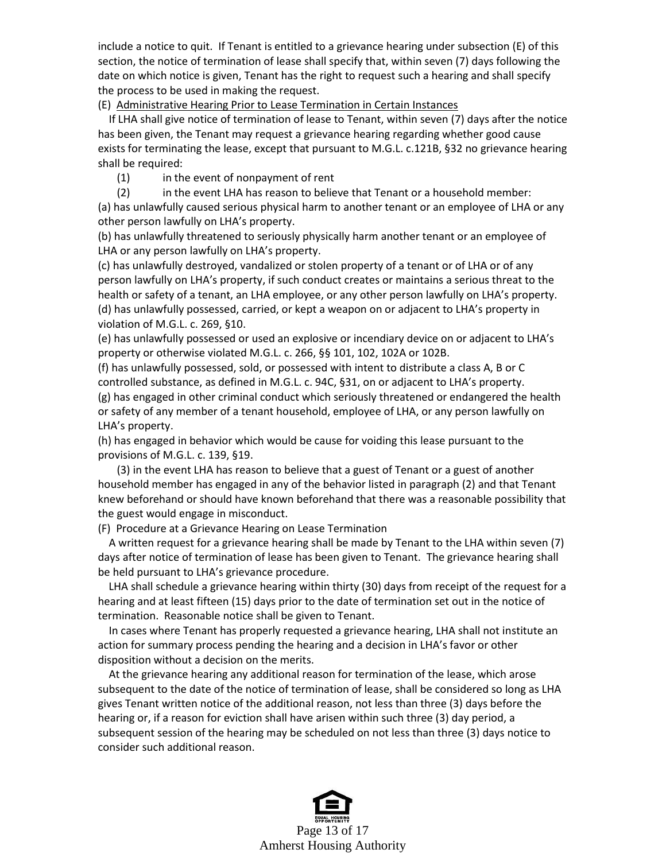include a notice to quit. If Tenant is entitled to a grievance hearing under subsection (E) of this section, the notice of termination of lease shall specify that, within seven (7) days following the date on which notice is given, Tenant has the right to request such a hearing and shall specify the process to be used in making the request.

(E) Administrative Hearing Prior to Lease Termination in Certain Instances

 If LHA shall give notice of termination of lease to Tenant, within seven (7) days after the notice has been given, the Tenant may request a grievance hearing regarding whether good cause exists for terminating the lease, except that pursuant to M.G.L. c.121B, §32 no grievance hearing shall be required:

(1) in the event of nonpayment of rent

(2) in the event LHA has reason to believe that Tenant or a household member:

(a) has unlawfully caused serious physical harm to another tenant or an employee of LHA or any other person lawfully on LHA's property.

(b) has unlawfully threatened to seriously physically harm another tenant or an employee of LHA or any person lawfully on LHA's property.

(c) has unlawfully destroyed, vandalized or stolen property of a tenant or of LHA or of any person lawfully on LHA's property, if such conduct creates or maintains a serious threat to the health or safety of a tenant, an LHA employee, or any other person lawfully on LHA's property. (d) has unlawfully possessed, carried, or kept a weapon on or adjacent to LHA's property in violation of M.G.L. c. 269, §10.

(e) has unlawfully possessed or used an explosive or incendiary device on or adjacent to LHA's property or otherwise violated M.G.L. c. 266, §§ 101, 102, 102A or 102B.

(f) has unlawfully possessed, sold, or possessed with intent to distribute a class A, B or C controlled substance, as defined in M.G.L. c. 94C, §31, on or adjacent to LHA's property. (g) has engaged in other criminal conduct which seriously threatened or endangered the health or safety of any member of a tenant household, employee of LHA, or any person lawfully on LHA's property.

(h) has engaged in behavior which would be cause for voiding this lease pursuant to the provisions of M.G.L. c. 139, §19.

 (3) in the event LHA has reason to believe that a guest of Tenant or a guest of another household member has engaged in any of the behavior listed in paragraph (2) and that Tenant knew beforehand or should have known beforehand that there was a reasonable possibility that the guest would engage in misconduct.

(F) Procedure at a Grievance Hearing on Lease Termination

 A written request for a grievance hearing shall be made by Tenant to the LHA within seven (7) days after notice of termination of lease has been given to Tenant. The grievance hearing shall be held pursuant to LHA's grievance procedure.

 LHA shall schedule a grievance hearing within thirty (30) days from receipt of the request for a hearing and at least fifteen (15) days prior to the date of termination set out in the notice of termination. Reasonable notice shall be given to Tenant.

 In cases where Tenant has properly requested a grievance hearing, LHA shall not institute an action for summary process pending the hearing and a decision in LHA's favor or other disposition without a decision on the merits.

 At the grievance hearing any additional reason for termination of the lease, which arose subsequent to the date of the notice of termination of lease, shall be considered so long as LHA gives Tenant written notice of the additional reason, not less than three (3) days before the hearing or, if a reason for eviction shall have arisen within such three (3) day period, a subsequent session of the hearing may be scheduled on not less than three (3) days notice to consider such additional reason.

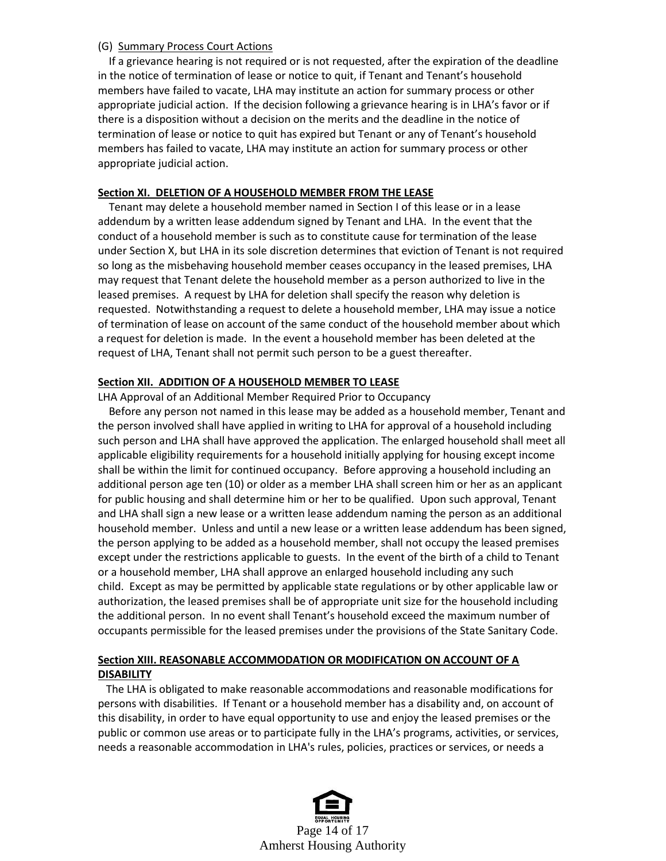#### (G) Summary Process Court Actions

 If a grievance hearing is not required or is not requested, after the expiration of the deadline in the notice of termination of lease or notice to quit, if Tenant and Tenant's household members have failed to vacate, LHA may institute an action for summary process or other appropriate judicial action. If the decision following a grievance hearing is in LHA's favor or if there is a disposition without a decision on the merits and the deadline in the notice of termination of lease or notice to quit has expired but Tenant or any of Tenant's household members has failed to vacate, LHA may institute an action for summary process or other appropriate judicial action.

#### **Section XI. DELETION OF A HOUSEHOLD MEMBER FROM THE LEASE**

 Tenant may delete a household member named in Section I of this lease or in a lease addendum by a written lease addendum signed by Tenant and LHA. In the event that the conduct of a household member is such as to constitute cause for termination of the lease under Section X, but LHA in its sole discretion determines that eviction of Tenant is not required so long as the misbehaving household member ceases occupancy in the leased premises, LHA may request that Tenant delete the household member as a person authorized to live in the leased premises. A request by LHA for deletion shall specify the reason why deletion is requested. Notwithstanding a request to delete a household member, LHA may issue a notice of termination of lease on account of the same conduct of the household member about which a request for deletion is made. In the event a household member has been deleted at the request of LHA, Tenant shall not permit such person to be a guest thereafter.

### **Section XII. ADDITION OF A HOUSEHOLD MEMBER TO LEASE**

LHA Approval of an Additional Member Required Prior to Occupancy

 Before any person not named in this lease may be added as a household member, Tenant and the person involved shall have applied in writing to LHA for approval of a household including such person and LHA shall have approved the application. The enlarged household shall meet all applicable eligibility requirements for a household initially applying for housing except income shall be within the limit for continued occupancy. Before approving a household including an additional person age ten (10) or older as a member LHA shall screen him or her as an applicant for public housing and shall determine him or her to be qualified. Upon such approval, Tenant and LHA shall sign a new lease or a written lease addendum naming the person as an additional household member. Unless and until a new lease or a written lease addendum has been signed, the person applying to be added as a household member, shall not occupy the leased premises except under the restrictions applicable to guests. In the event of the birth of a child to Tenant or a household member, LHA shall approve an enlarged household including any such child. Except as may be permitted by applicable state regulations or by other applicable law or authorization, the leased premises shall be of appropriate unit size for the household including the additional person. In no event shall Tenant's household exceed the maximum number of occupants permissible for the leased premises under the provisions of the State Sanitary Code.

## **Section XIII. REASONABLE ACCOMMODATION OR MODIFICATION ON ACCOUNT OF A DISABILITY**

 The LHA is obligated to make reasonable accommodations and reasonable modifications for persons with disabilities. If Tenant or a household member has a disability and, on account of this disability, in order to have equal opportunity to use and enjoy the leased premises or the public or common use areas or to participate fully in the LHA's programs, activities, or services, needs a reasonable accommodation in LHA's rules, policies, practices or services, or needs a

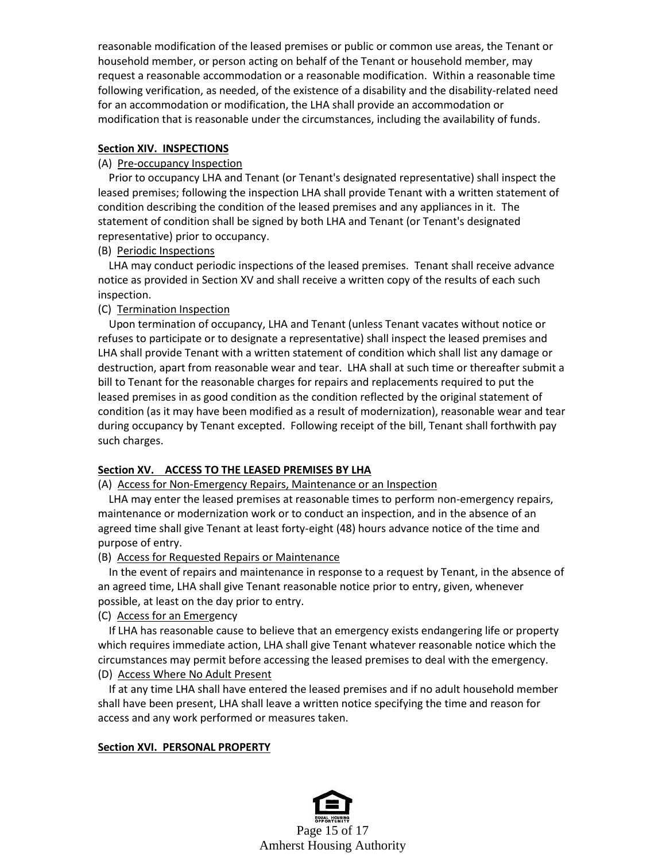reasonable modification of the leased premises or public or common use areas, the Tenant or household member, or person acting on behalf of the Tenant or household member, may request a reasonable accommodation or a reasonable modification. Within a reasonable time following verification, as needed, of the existence of a disability and the disability-related need for an accommodation or modification, the LHA shall provide an accommodation or modification that is reasonable under the circumstances, including the availability of funds.

### **Section XIV. INSPECTIONS**

#### (A) Pre-occupancy Inspection

 Prior to occupancy LHA and Tenant (or Tenant's designated representative) shall inspect the leased premises; following the inspection LHA shall provide Tenant with a written statement of condition describing the condition of the leased premises and any appliances in it. The statement of condition shall be signed by both LHA and Tenant (or Tenant's designated representative) prior to occupancy.

### (B) Periodic Inspections

 LHA may conduct periodic inspections of the leased premises. Tenant shall receive advance notice as provided in Section XV and shall receive a written copy of the results of each such inspection.

### (C) Termination Inspection

 Upon termination of occupancy, LHA and Tenant (unless Tenant vacates without notice or refuses to participate or to designate a representative) shall inspect the leased premises and LHA shall provide Tenant with a written statement of condition which shall list any damage or destruction, apart from reasonable wear and tear. LHA shall at such time or thereafter submit a bill to Tenant for the reasonable charges for repairs and replacements required to put the leased premises in as good condition as the condition reflected by the original statement of condition (as it may have been modified as a result of modernization), reasonable wear and tear during occupancy by Tenant excepted. Following receipt of the bill, Tenant shall forthwith pay such charges.

### **Section XV. ACCESS TO THE LEASED PREMISES BY LHA**

### (A) Access for Non-Emergency Repairs, Maintenance or an Inspection

 LHA may enter the leased premises at reasonable times to perform non-emergency repairs, maintenance or modernization work or to conduct an inspection, and in the absence of an agreed time shall give Tenant at least forty-eight (48) hours advance notice of the time and purpose of entry.

### (B) Access for Requested Repairs or Maintenance

 In the event of repairs and maintenance in response to a request by Tenant, in the absence of an agreed time, LHA shall give Tenant reasonable notice prior to entry, given, whenever possible, at least on the day prior to entry.

### (C) Access for an Emergency

 If LHA has reasonable cause to believe that an emergency exists endangering life or property which requires immediate action, LHA shall give Tenant whatever reasonable notice which the circumstances may permit before accessing the leased premises to deal with the emergency. (D) Access Where No Adult Present

 If at any time LHA shall have entered the leased premises and if no adult household member shall have been present, LHA shall leave a written notice specifying the time and reason for access and any work performed or measures taken.

### **Section XVI. PERSONAL PROPERTY**

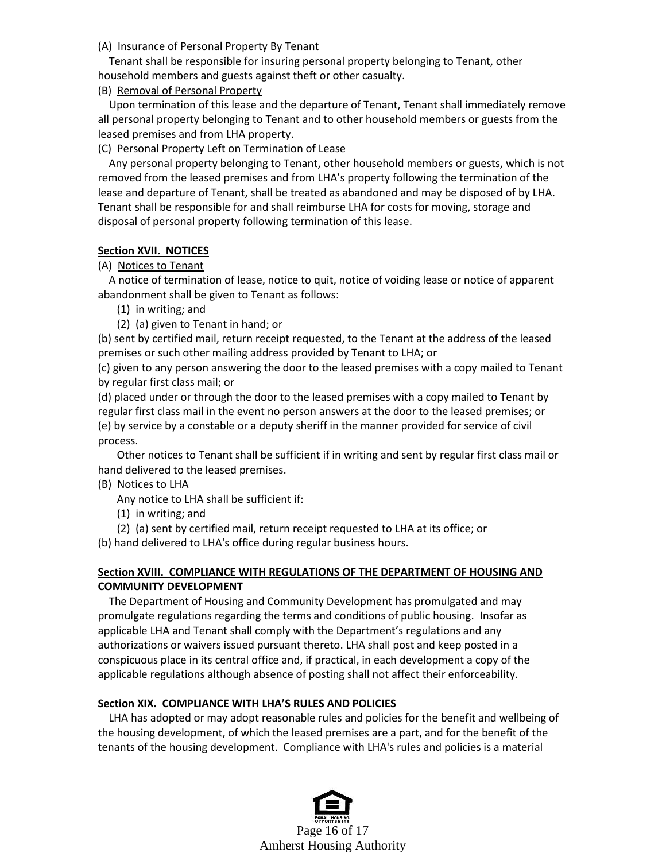### (A) Insurance of Personal Property By Tenant

 Tenant shall be responsible for insuring personal property belonging to Tenant, other household members and guests against theft or other casualty.

(B) Removal of Personal Property

 Upon termination of this lease and the departure of Tenant, Tenant shall immediately remove all personal property belonging to Tenant and to other household members or guests from the leased premises and from LHA property.

(C) Personal Property Left on Termination of Lease

 Any personal property belonging to Tenant, other household members or guests, which is not removed from the leased premises and from LHA's property following the termination of the lease and departure of Tenant, shall be treated as abandoned and may be disposed of by LHA. Tenant shall be responsible for and shall reimburse LHA for costs for moving, storage and disposal of personal property following termination of this lease.

#### **Section XVII. NOTICES**

#### (A) Notices to Tenant

 A notice of termination of lease, notice to quit, notice of voiding lease or notice of apparent abandonment shall be given to Tenant as follows:

- (1) in writing; and
- (2) (a) given to Tenant in hand; or

(b) sent by certified mail, return receipt requested, to the Tenant at the address of the leased premises or such other mailing address provided by Tenant to LHA; or

(c) given to any person answering the door to the leased premises with a copy mailed to Tenant by regular first class mail; or

(d) placed under or through the door to the leased premises with a copy mailed to Tenant by regular first class mail in the event no person answers at the door to the leased premises; or (e) by service by a constable or a deputy sheriff in the manner provided for service of civil process.

 Other notices to Tenant shall be sufficient if in writing and sent by regular first class mail or hand delivered to the leased premises.

### (B) Notices to LHA

Any notice to LHA shall be sufficient if:

(1) in writing; and

(2) (a) sent by certified mail, return receipt requested to LHA at its office; or

(b) hand delivered to LHA's office during regular business hours.

### **Section XVIII. COMPLIANCE WITH REGULATIONS OF THE DEPARTMENT OF HOUSING AND COMMUNITY DEVELOPMENT**

 The Department of Housing and Community Development has promulgated and may promulgate regulations regarding the terms and conditions of public housing. Insofar as applicable LHA and Tenant shall comply with the Department's regulations and any authorizations or waivers issued pursuant thereto. LHA shall post and keep posted in a conspicuous place in its central office and, if practical, in each development a copy of the applicable regulations although absence of posting shall not affect their enforceability.

### **Section XIX. COMPLIANCE WITH LHA'S RULES AND POLICIES**

 LHA has adopted or may adopt reasonable rules and policies for the benefit and wellbeing of the housing development, of which the leased premises are a part, and for the benefit of the tenants of the housing development. Compliance with LHA's rules and policies is a material